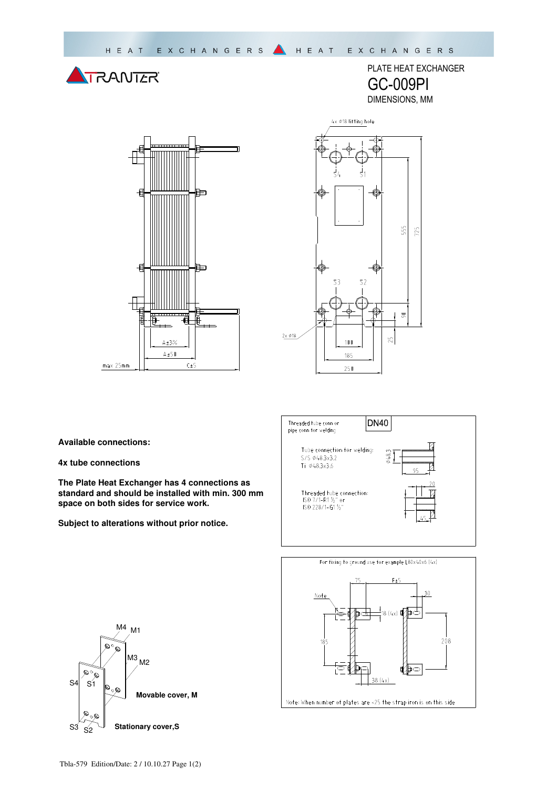





PLATE HEAT EXCHANGER

GC-009PI DIMENSIONS, MM

**Available connections:** 

**4x tube connections** 

**The Plate Heat Exchanger has 4 connections as standard and should be installed with min. 300 mm space on both sides for service work.** 

**Subject to alterations without prior notice.**